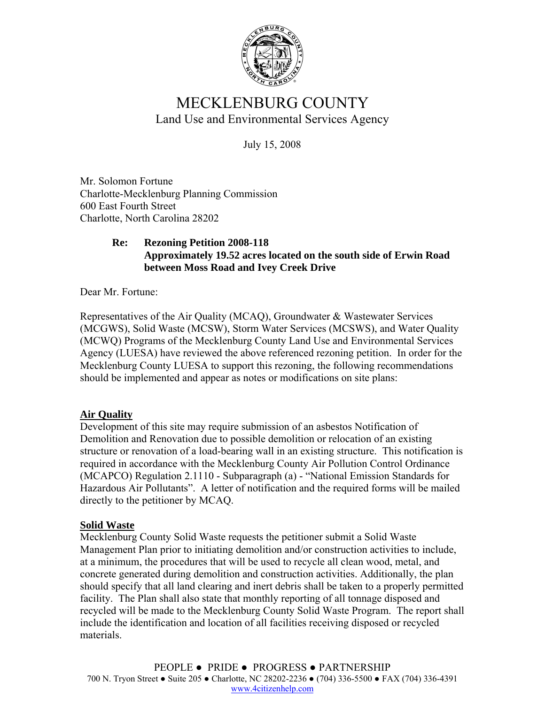

# MECKLENBURG COUNTY Land Use and Environmental Services Agency

July 15, 2008

Mr. Solomon Fortune Charlotte-Mecklenburg Planning Commission 600 East Fourth Street Charlotte, North Carolina 28202

### **Re: Rezoning Petition 2008-118 Approximately 19.52 acres located on the south side of Erwin Road between Moss Road and Ivey Creek Drive**

Dear Mr. Fortune:

Representatives of the Air Quality (MCAQ), Groundwater & Wastewater Services (MCGWS), Solid Waste (MCSW), Storm Water Services (MCSWS), and Water Quality (MCWQ) Programs of the Mecklenburg County Land Use and Environmental Services Agency (LUESA) have reviewed the above referenced rezoning petition. In order for the Mecklenburg County LUESA to support this rezoning, the following recommendations should be implemented and appear as notes or modifications on site plans:

## **Air Quality**

Development of this site may require submission of an asbestos Notification of Demolition and Renovation due to possible demolition or relocation of an existing structure or renovation of a load-bearing wall in an existing structure. This notification is required in accordance with the Mecklenburg County Air Pollution Control Ordinance (MCAPCO) Regulation 2.1110 - Subparagraph (a) - "National Emission Standards for Hazardous Air Pollutants". A letter of notification and the required forms will be mailed directly to the petitioner by MCAQ.

## **Solid Waste**

Mecklenburg County Solid Waste requests the petitioner submit a Solid Waste Management Plan prior to initiating demolition and/or construction activities to include, at a minimum, the procedures that will be used to recycle all clean wood, metal, and concrete generated during demolition and construction activities. Additionally, the plan should specify that all land clearing and inert debris shall be taken to a properly permitted facility. The Plan shall also state that monthly reporting of all tonnage disposed and recycled will be made to the Mecklenburg County Solid Waste Program. The report shall include the identification and location of all facilities receiving disposed or recycled materials.